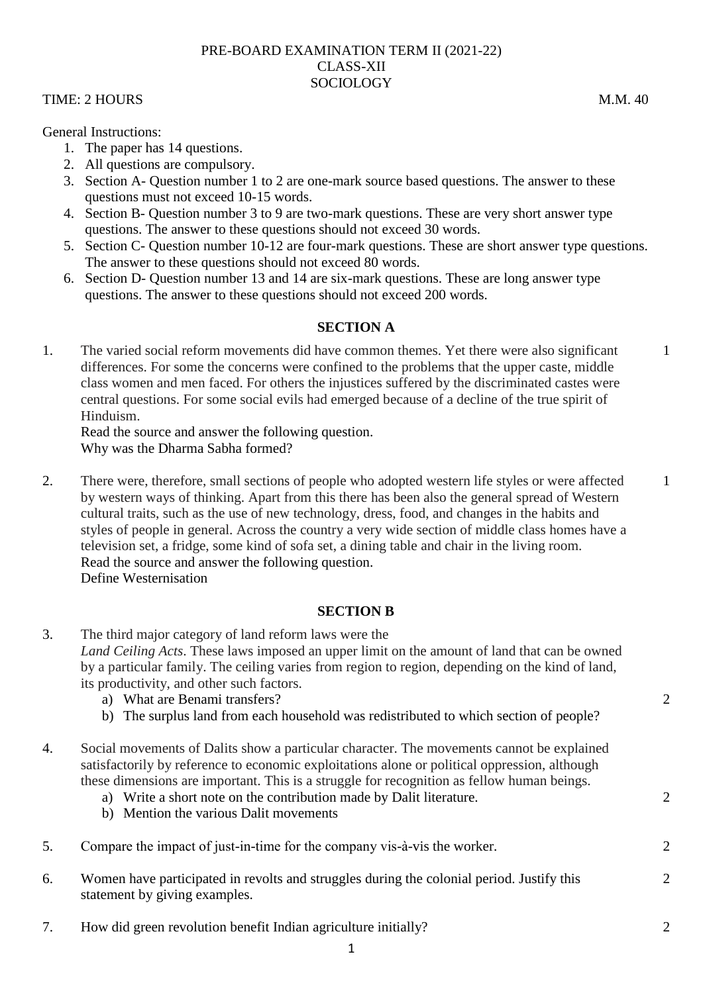## PRE-BOARD EXAMINATION TERM II (2021-22) CLASS-XII SOCIOLOGY

## TIME: 2 HOURS M.M. 40

General Instructions:

- 1. The paper has 14 questions.
- 2. All questions are compulsory.
- 3. Section A- Question number 1 to 2 are one-mark source based questions. The answer to these questions must not exceed 10-15 words.
- 4. Section B- Question number 3 to 9 are two-mark questions. These are very short answer type questions. The answer to these questions should not exceed 30 words.
- 5. Section C- Question number 10-12 are four-mark questions. These are short answer type questions. The answer to these questions should not exceed 80 words.
- 6. Section D- Question number 13 and 14 are six-mark questions. These are long answer type questions. The answer to these questions should not exceed 200 words.

## **SECTION A**

1. The varied social reform movements did have common themes. Yet there were also significant differences. For some the concerns were confined to the problems that the upper caste, middle class women and men faced. For others the injustices suffered by the discriminated castes were central questions. For some social evils had emerged because of a decline of the true spirit of Hinduism.

Read the source and answer the following question. Why was the Dharma Sabha formed?

2. There were, therefore, small sections of people who adopted western life styles or were affected by western ways of thinking. Apart from this there has been also the general spread of Western cultural traits, such as the use of new technology, dress, food, and changes in the habits and styles of people in general. Across the country a very wide section of middle class homes have a television set, a fridge, some kind of sofa set, a dining table and chair in the living room. Read the source and answer the following question. Define Westernisation

## **SECTION B**

- 3. The third major category of land reform laws were the *Land Ceiling Acts*. These laws imposed an upper limit on the amount of land that can be owned by a particular family. The ceiling varies from region to region, depending on the kind of land, its productivity, and other such factors. a) What are Benami transfers? b) The surplus land from each household was redistributed to which section of people?
- 4. Social movements of Dalits show a particular character. The movements cannot be explained satisfactorily by reference to economic exploitations alone or political oppression, although these dimensions are important. This is a struggle for recognition as fellow human beings.
	- a) Write a short note on the contribution made by Dalit literature.
	- b) Mention the various Dalit movements
- 5. Compare the impact of just-in-time for the company vis-à-vis the worker.
- 6. Women have participated in revolts and struggles during the colonial period. Justify this statement by giving examples.
- 7. How did green revolution benefit Indian agriculture initially? 2

 $\mathcal{D}$ 

 $\mathfrak{D}$ 

 $\mathcal{D}_{\mathcal{L}}$ 

1

1